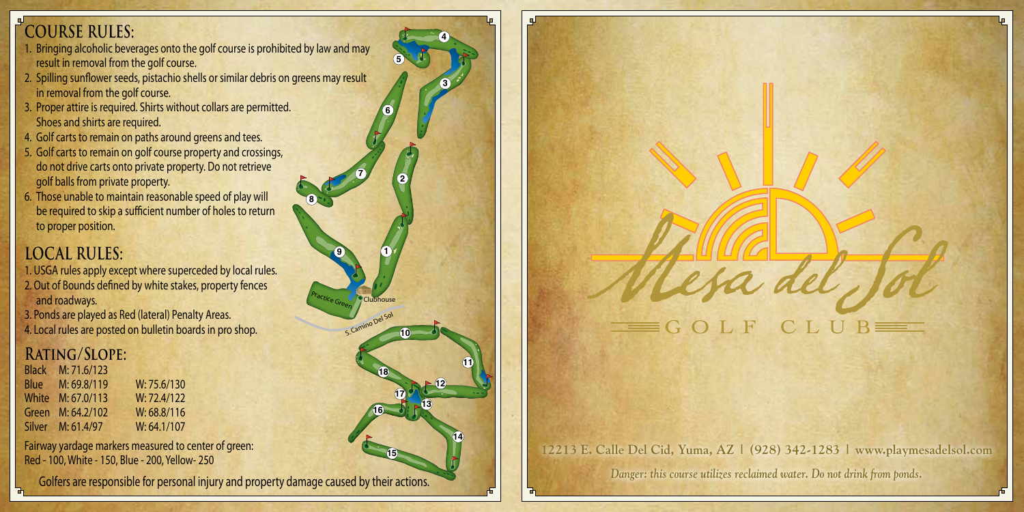## **COURSE RULES:**

- 1. Bringing alcoholic beverages onto the golf course is prohibited by law and may result in removal from the golf course.
- 2. Spilling sunflower seeds, pistachio shells or similar debris on greens may result in removal from the golf course.
- 3. Proper attire is required. Shirts without collars are permitted. Shoes and shirts are required.
- 4. Golf carts to remain on paths around greens and tees.
- 5. Golf carts to remain on golf course property and crossings, do not drive carts onto private property. Do not retrieve golf balls from private property.
- 6. Those unable to maintain reasonable speed of play will be required to skip a sufficient number of holes to return to proper position.

## **LOCAL RULES:**

- 1. USGA rules apply except where superceded by local rules.
- 2. Out of Bounds defined by white stakes, property fences and roadways.
- 3. Ponds are played as Red (lateral) Penalty Areas. 4. Local rules are posted on bulletin boards in pro shop.

## **Rating/Slope:**

Black M: 71.6/123 Blue M: 69.8/119 W: 75.6/130 White M: 67.0/113 W: 72.4/122 Green M: 64.2/102 W: 68.8/116 Silver M: 61.4/97 W: 64.1/107

Fairway yardage markers measured to center of green: Red - 100, White - 150, Blue - 200, Yellow- 250

Golfers are responsible for personal injury and property damage caused by their actions.

Practice Green<sup>2</sup>/Clubhouse

**9**

**7**

**8**

S. Camino Del Sol

**1**

**2**

**5**

**6**

**3**

**4**

**10**

**17**

**15**

**16**

**18**

**11**

**14**

**12**

**13**



## **12213 E. Calle Del Cid, Yuma, AZ | (928) 342-1283 | www.playmesadelsol.com**

*Danger: this course utilizes reclaimed water. Do not drink from ponds.*